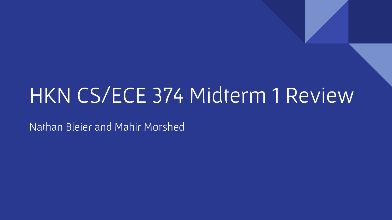# HKN CS/ECE 374 Midterm 1 Review

Nathan Bleier and Mahir Morshed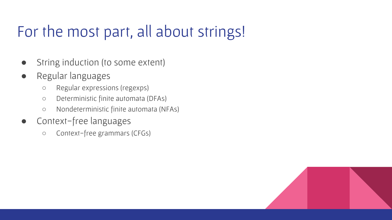# For the most part, all about strings!

- String induction (to some extent)
- Regular languages
	- Regular expressions (regexps)
	- Deterministic finite automata (DFAs)
	- Nondeterministic finite automata (NFAs)
- Context-free languages
	- Context-free grammars (CFGs)

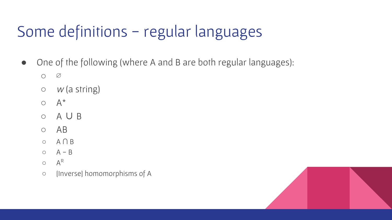# Some definitions - regular languages

- One of the following (where A and B are both regular languages):
	- $\circ$
	- $\circ$  *w* (a string)
	- $O \left( A^* \right)$
	- A ∪ B
	- AB
	- A ∩ B
	- $O$   $A B$
	- $\circ$   $A^R$
	- [Inverse] homomorphisms of A

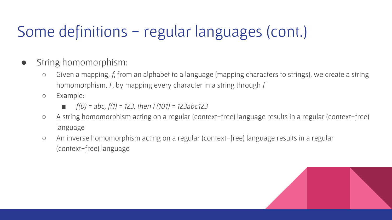# Some definitions - regular languages (cont.)

- String homomorphism:
	- Given a mapping, f, from an alphabet to a language (mapping characters to strings), we create a string homomorphism, F, by mapping every character in a string through f
	- Example:
		- *■* f(0) = abc, f(1) = 123, then F(101) = 123abc123
	- A string homomorphism acting on a regular (context-free) language results in a regular (context-free) language
	- An inverse homomorphism acting on a regular (context-free) language results in a regular (context-free) language

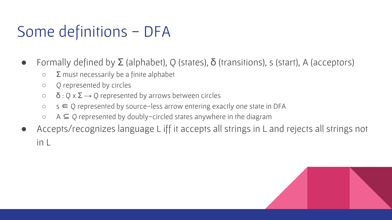# Some definitions - DFA

- Formally defined by  $\Sigma$  (alphabet), Q (states),  $\delta$  (transitions), s (start), A (acceptors)
	- $\circ$   $\Sigma$  must necessarily be a finite alphabet
	- Q represented by circles
	- $\circ$   $\delta$  : Q x  $\Sigma \rightarrow Q$  represented by arrows between circles
	- $\circ$  s  $\in$  Q represented by source-less arrow entering exactly one state in DFA
	- $\circ$  A  $\subseteq$  Q represented by doubly-circled states anywhere in the diagram
- Accepts/recognizes language L iff it accepts all strings in L and rejects all strings not in L

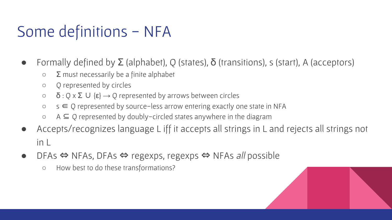# Some definitions - NFA

- Formally defined by  $\Sigma$  (alphabet), Q (states),  $\delta$  (transitions), s (start), A (acceptors)
	- $\circ$   $\Sigma$  must necessarily be a finite alphabet
	- Q represented by circles
	- $\circ$   $\delta$  : Q x  $\Sigma$  U { $\epsilon$ }  $\rightarrow$  Q represented by arrows between circles
	- $\circ$  s  $\in$  Q represented by source-less arrow entering exactly one state in NFA
	- $\circ$  A  $\subseteq$  Q represented by doubly-circled states anywhere in the diagram
- Accepts/recognizes language L iff it accepts all strings in L and rejects all strings not in L
- DFAs ⇔ NFAs, DFAs ⇔ regexps, regexps ⇔ NFAs all possible
	- How best to do these transformations?

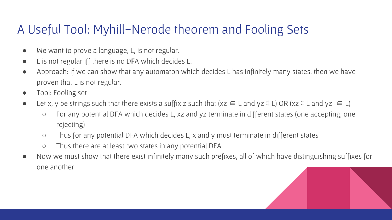#### A Useful Tool: Myhill-Nerode theorem and Fooling Sets

- We want to prove a language, L, is not regular.
- L is not regular iff there is no DFA which decides L.
- Approach: If we can show that any automaton which decides L has infinitely many states, then we have proven that L is not regular.
- Tool: Fooling set
- Let x, y be strings such that there exists a suffix z such that (xz  $\in$  L and yz  $\notin$  L) OR (xz  $\notin$  L and yz  $\in$  L)
	- For any potential DFA which decides L, xz and yz terminate in different states (one accepting, one rejecting)
	- Thus for any potential DFA which decides L, x and y must terminate in different states
	- Thus there are at least two states in any potential DFA
- Now we must show that there exist infinitely many such prefixes, all of which have distinguishing suffixes for one another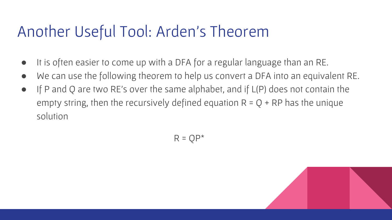## Another Useful Tool: Arden's Theorem

- It is often easier to come up with a DFA for a regular language than an RE.
- We can use the following theorem to help us convert a DFA into an equivalent RE.
- If P and Q are two RE's over the same alphabet, and if L(P) does not contain the empty string, then the recursively defined equation  $R = Q + RP$  has the unique solution

 $R = QP^*$ 

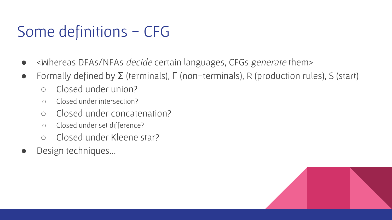# Some definitions - CFG

- <Whereas DFAs/NFAs *decide* certain languages, CFGs *generate* them>
- $\bullet$  Formally defined by  $\Sigma$  (terminals),  $\Gamma$  (non-terminals), R (production rules), S (start)
	- Closed under union?
	- Closed under intersection?
	- Closed under concatenation?
	- Closed under set difference?
	- Closed under Kleene star?
- Design techniques...

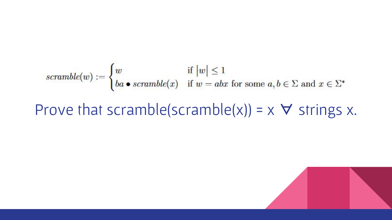$$
scramble(w) := \begin{cases} w & \text{if } |w| \le 1 \\ ba \bullet \text{ scramble}(x) & \text{if } w = abx \text{ for some } a, b \in \Sigma \text{ and } x \in \Sigma^* \end{cases}
$$

### Prove that scramble(scramble(x)) =  $\times$   $\forall$  strings x.

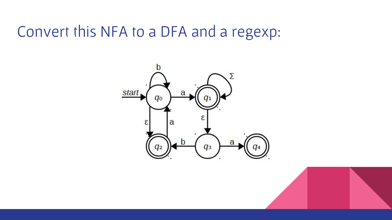## Convert this NFA to a DFA and a regexp:

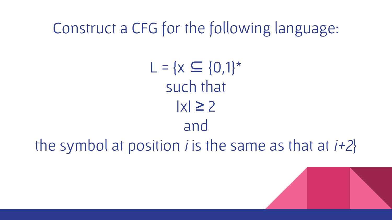Construct a CFG for the following language:

 $L = \{x \subseteq \{0,1\}^*$ such that  $|x| \geq 2$ and the symbol at position *i* is the same as that at  $i+2$ }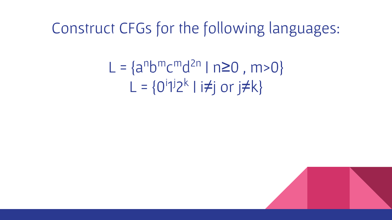### Construct CFGs for the following languages:

L = {an bmcmd 2n | n≥0 , m>0} L = {0i 1 j2 k | i≠j or j≠k}

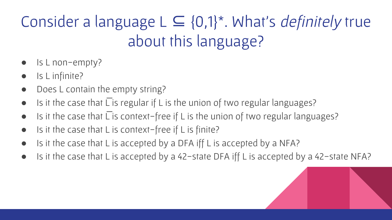# Consider a language  $L \subseteq \{0,1\}^*$ . What's *definitely* true about this language?

- Is L non-empty?
- Is L infinite?
- Does L contain the empty string?
- $\bullet$  Is it the case that L is regular if L is the union of two regular languages?
- $\bullet$  Is it the case that  $\overline{\Gamma}$  is context-free if L is the union of two regular languages?
- Is it the case that L is context-free if L is finite?
- Is it the case that L is accepted by a DFA iff L is accepted by a NFA?
- Is it the case that L is accepted by a 42-state DFA iff L is accepted by a 42-state NFA?

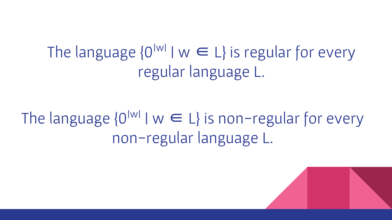The language  $\{0^{|w|} \mid w \in L\}$  is regular for every regular language L.

The language  $\{0^{|w|} \mid w \in L\}$  is non-regular for every non-regular language L.

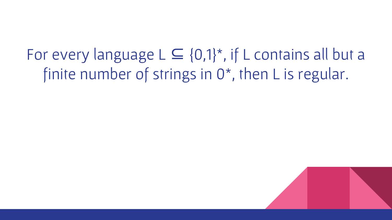For every language  $L \subseteq \{0,1\}^*$ , if L contains all but a finite number of strings in 0<sup>\*</sup>, then L is regular.

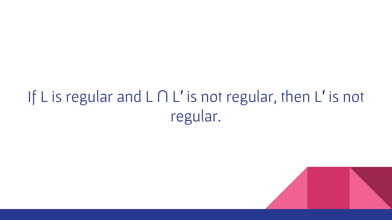# If L is regular and L ∩ L′ is not regular, then L′ is not regular.

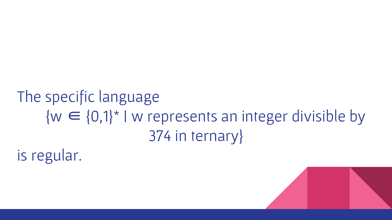# The specific language  ${w \in \{0,1\}^*}$  I w represents an integer divisible by 374 in ternary}

is regular.

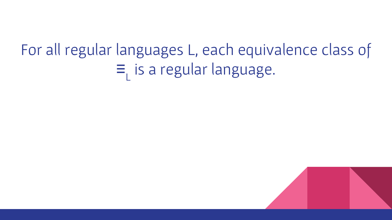#### For all regular languages L, each equivalence class of ≡  $\mathsf{L}^+$ is a regular language.